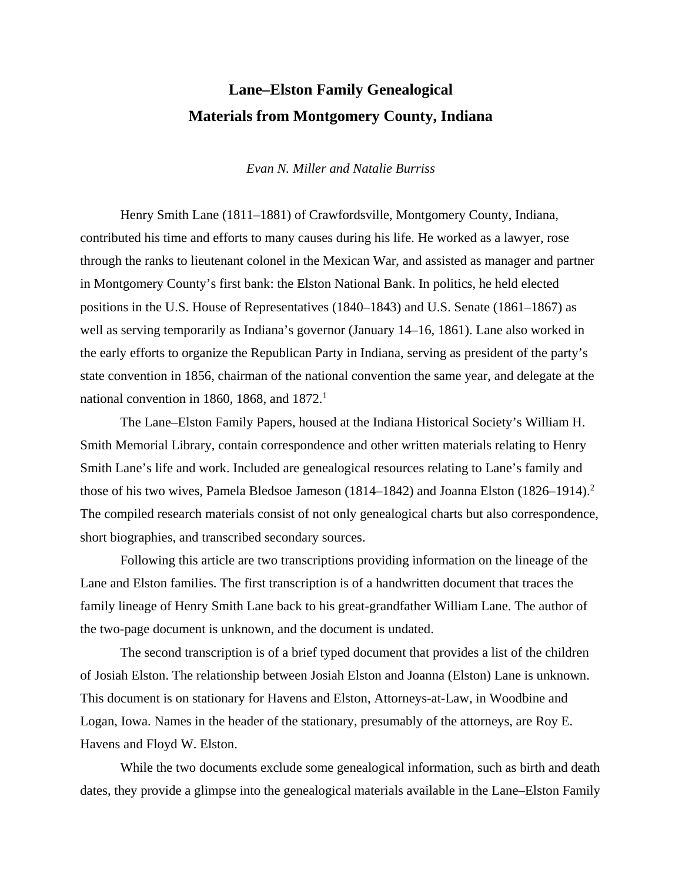# **Lane–Elston Family Genealogical Materials from Montgomery County, Indiana**

#### *Evan N. Miller and Natalie Burriss*

Henry Smith Lane (1811–1881) of Crawfordsville, Montgomery County, Indiana, contributed his time and efforts to many causes during his life. He worked as a lawyer, rose through the ranks to lieutenant colonel in the Mexican War, and assisted as manager and partner in Montgomery County's first bank: the Elston National Bank. In politics, he held elected positions in the U.S. House of Representatives (1840–1843) and U.S. Senate (1861–1867) as well as serving temporarily as Indiana's governor (January 14–16, 1861). Lane also worked in the early efforts to organize the Republican Party in Indiana, serving as president of the party's state convention in 1856, chairman of the national convention the same year, and delegate at the national convention in 1860, 1868, and 1872.<sup>1</sup>

The Lane–Elston Family Papers, housed at the Indiana Historical Society's William H. Smith Memorial Library, contain correspondence and other written materials relating to Henry Smith Lane's life and work. Included are genealogical resources relating to Lane's family and those of his two wives, Pamela Bledsoe Jameson (1814–1842) and Joanna Elston (1826–1914).<sup>2</sup> The compiled research materials consist of not only genealogical charts but also correspondence, short biographies, and transcribed secondary sources.

Following this article are two transcriptions providing information on the lineage of the Lane and Elston families. The first transcription is of a handwritten document that traces the family lineage of Henry Smith Lane back to his great-grandfather William Lane. The author of the two-page document is unknown, and the document is undated.

The second transcription is of a brief typed document that provides a list of the children of Josiah Elston. The relationship between Josiah Elston and Joanna (Elston) Lane is unknown. This document is on stationary for Havens and Elston, Attorneys-at-Law, in Woodbine and Logan, Iowa. Names in the header of the stationary, presumably of the attorneys, are Roy E. Havens and Floyd W. Elston.

While the two documents exclude some genealogical information, such as birth and death dates, they provide a glimpse into the genealogical materials available in the Lane–Elston Family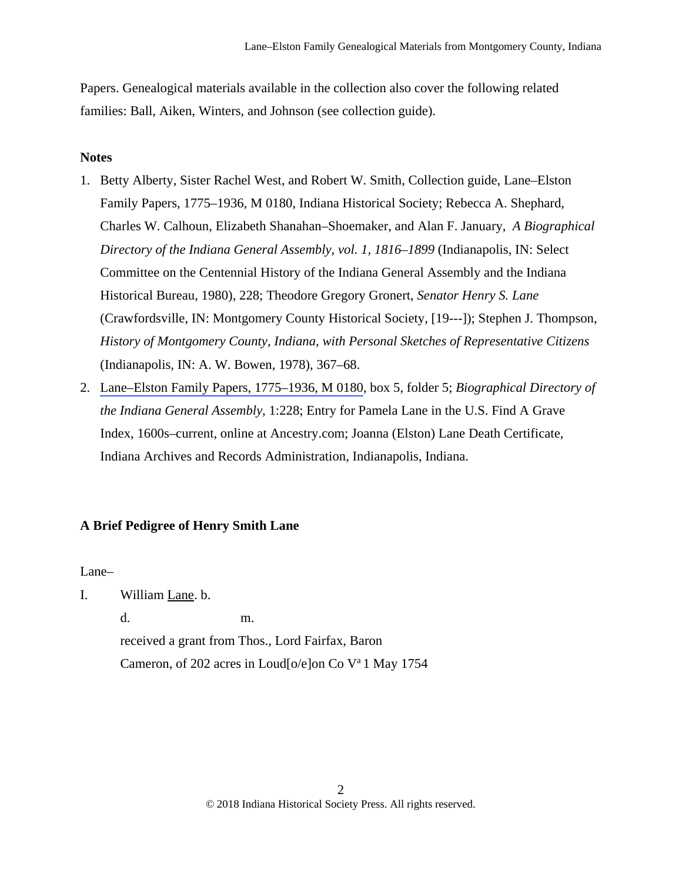Papers. Genealogical materials available in the collection also cover the following related families: Ball, Aiken, Winters, and Johnson (see collection guide).

# **Notes**

- 1. Betty Alberty, Sister Rachel West, and Robert W. Smith, Collection guide, Lane–Elston Family Papers, 1775–1936, M 0180, Indiana Historical Society; Rebecca A. Shephard, Charles W. Calhoun, Elizabeth Shanahan–Shoemaker, and Alan F. January, *A Biographical Directory of the Indiana General Assembly, vol. 1, 1816–1899* (Indianapolis, IN: Select Committee on the Centennial History of the Indiana General Assembly and the Indiana Historical Bureau, 1980), 228; Theodore Gregory Gronert, *Senator Henry S. Lane* (Crawfordsville, IN: Montgomery County Historical Society, [19---]); Stephen J. Thompson, *History of Montgomery County, Indiana, with Personal Sketches of Representative Citizens* (Indianapolis, IN: A. W. Bowen, 1978), 367–68.
- 2. [Lane–Elston Family Papers, 1775–1936, M 0180](https://indianahistory.org/wp-content/uploads/lane-elston-family-papers-1775-1936.pdf), box 5, folder 5; *Biographical Directory of the Indiana General Assembly*, 1:228; Entry for Pamela Lane in the U.S. Find A Grave Index, 1600s–current, online at Ancestry.com; Joanna (Elston) Lane Death Certificate, Indiana Archives and Records Administration, Indianapolis, Indiana.

# **A Brief Pedigree of Henry Smith Lane**

Lane–

I. William Lane. b.

 d. m. received a grant from Thos., Lord Fairfax, Baron Cameron, of 202 acres in Loud[o/e]on Co Va 1 May 1754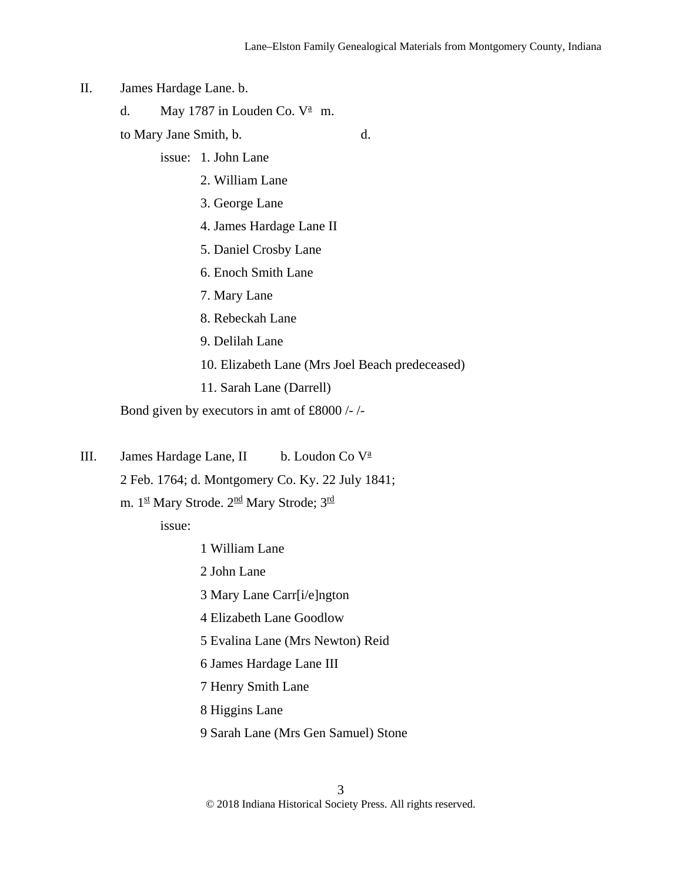- II. James Hardage Lane. b.
- d. May 1787 in Louden Co.  $V^{\underline{a}}$  m.
	- to Mary Jane Smith, b. d.
		- issue: 1. John Lane
			- 2. William Lane
			- 3. George Lane
			- 4. James Hardage Lane II
			- 5. Daniel Crosby Lane
			- 6. Enoch Smith Lane
			- 7. Mary Lane
			- 8. Rebeckah Lane
			- 9. Delilah Lane
			- 10. Elizabeth Lane (Mrs Joel Beach predeceased)
			- 11. Sarah Lane (Darrell)

Bond given by executors in amt of £8000 /- /-

III. James Hardage Lane, II b. Loudon Co V<sup>a</sup>

2 Feb. 1764; d. Montgomery Co. Ky. 22 July 1841;

m. 1st Mary Strode. 2<sup>nd</sup> Mary Strode; 3<sup>rd</sup>

issue:

- 1 William Lane
- 2 John Lane
- 3 Mary Lane Carr[i/e]ngton
- 4 Elizabeth Lane Goodlow
- 5 Evalina Lane (Mrs Newton) Reid
- 6 James Hardage Lane III
- 7 Henry Smith Lane
- 8 Higgins Lane
- 9 Sarah Lane (Mrs Gen Samuel) Stone